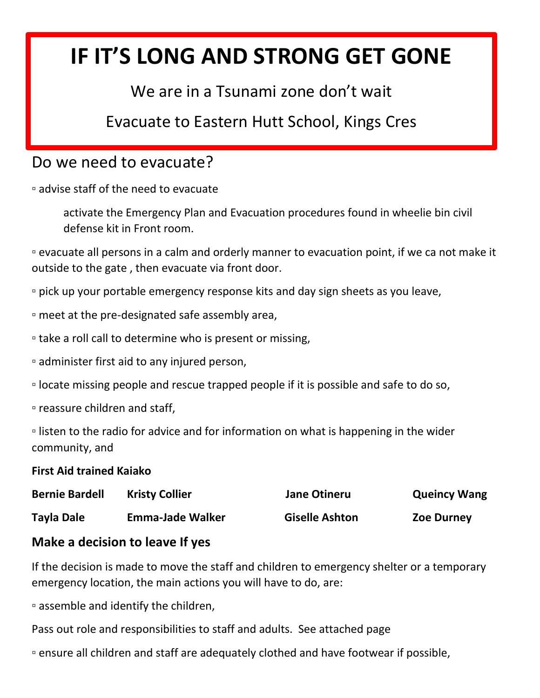# **IF IT'S LONG AND STRONG GET GONE**

## We are in a Tsunami zone don't wait

Evacuate to Eastern Hutt School, Kings Cres

### Do we need to evacuate?

▫ advise staff of the need to evacuate

activate the Emergency Plan and Evacuation procedures found in wheelie bin civil defense kit in Front room.

▫ evacuate all persons in a calm and orderly manner to evacuation point, if we ca not make it outside to the gate , then evacuate via front door.

▫ pick up your portable emergency response kits and day sign sheets as you leave,

▫ meet at the pre-designated safe assembly area,

▫ take a roll call to determine who is present or missing,

▫ administer first aid to any injured person,

▫ locate missing people and rescue trapped people if it is possible and safe to do so,

▫ reassure children and staff,

▫ listen to the radio for advice and for information on what is happening in the wider community, and

#### **First Aid trained Kaiako**

| <b>Bernie Bardell</b> | <b>Kristy Collier</b>   | <b>Jane Otineru</b>   | <b>Queincy Wang</b> |
|-----------------------|-------------------------|-----------------------|---------------------|
| <b>Tayla Dale</b>     | <b>Emma-Jade Walker</b> | <b>Giselle Ashton</b> | <b>Zoe Durney</b>   |

#### **Make a decision to leave If yes**

If the decision is made to move the staff and children to emergency shelter or a temporary emergency location, the main actions you will have to do, are:

▫ assemble and identify the children,

Pass out role and responsibilities to staff and adults. See attached page

▫ ensure all children and staff are adequately clothed and have footwear if possible,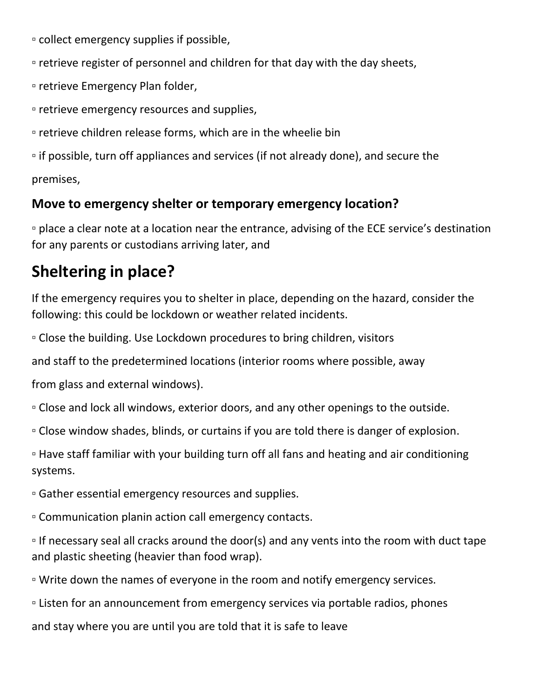▫ collect emergency supplies if possible,

▫ retrieve register of personnel and children for that day with the day sheets,

▫ retrieve Emergency Plan folder,

▫ retrieve emergency resources and supplies,

▫ retrieve children release forms, which are in the wheelie bin

▫ if possible, turn off appliances and services (if not already done), and secure the premises,

#### **Move to emergency shelter or temporary emergency location?**

▫ place a clear note at a location near the entrance, advising of the ECE service's destination for any parents or custodians arriving later, and

# **Sheltering in place?**

If the emergency requires you to shelter in place, depending on the hazard, consider the following: this could be lockdown or weather related incidents.

▫ Close the building. Use Lockdown procedures to bring children, visitors

and staff to the predetermined locations (interior rooms where possible, away

from glass and external windows).

▫ Close and lock all windows, exterior doors, and any other openings to the outside.

▫ Close window shades, blinds, or curtains if you are told there is danger of explosion.

▫ Have staff familiar with your building turn off all fans and heating and air conditioning systems.

▫ Gather essential emergency resources and supplies.

▫ Communication planin action call emergency contacts.

▫ If necessary seal all cracks around the door(s) and any vents into the room with duct tape and plastic sheeting (heavier than food wrap).

▫ Write down the names of everyone in the room and notify emergency services.

▫ Listen for an announcement from emergency services via portable radios, phones

and stay where you are until you are told that it is safe to leave